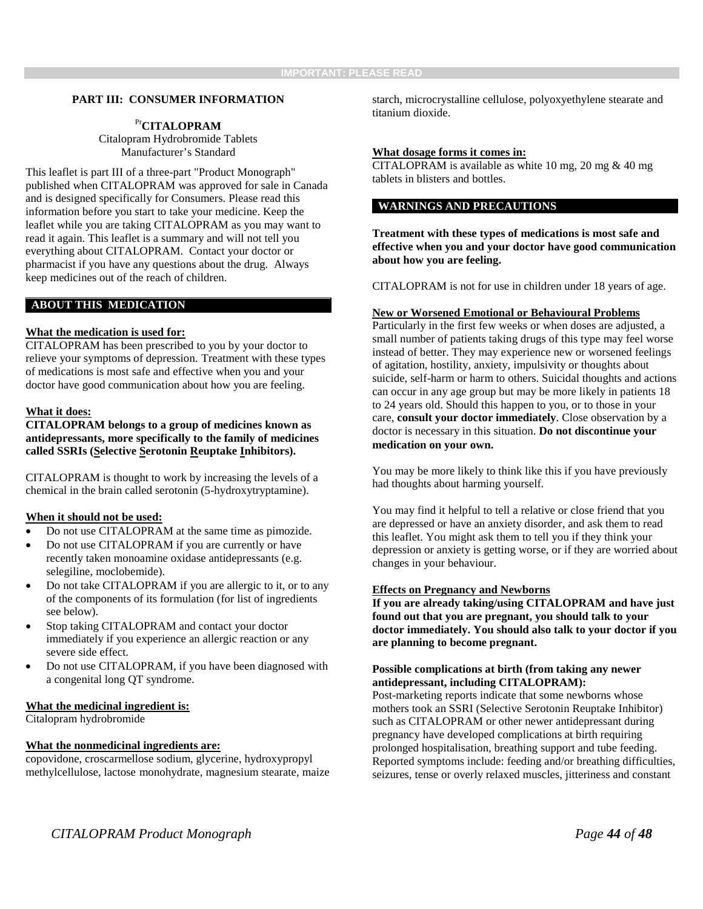#### **PART III: CONSUMER INFORMATION**

# Pr**CITALOPRAM**

Citalopram Hydrobromide Tablets Manufacturer's Standard

This leaflet is part III of a three-part "Product Monograph" published when CITALOPRAM was approved for sale in Canada and is designed specifically for Consumers. Please read this information before you start to take your medicine. Keep the leaflet while you are taking CITALOPRAM as you may want to read it again. This leaflet is a summary and will not tell you everything about CITALOPRAM. Contact your doctor or pharmacist if you have any questions about the drug. Always keep medicines out of the reach of children.

## **ABOUT THIS MEDICATION**

#### **What the medication is used for:**

CITALOPRAM has been prescribed to you by your doctor to relieve your symptoms of depression. Treatment with these types of medications is most safe and effective when you and your doctor have good communication about how you are feeling.

#### **What it does:**

**CITALOPRAM belongs to a group of medicines known as antidepressants, more specifically to the family of medicines called SSRIs (Selective Serotonin Reuptake Inhibitors).** 

CITALOPRAM is thought to work by increasing the levels of a chemical in the brain called serotonin (5-hydroxytryptamine).

#### **When it should not be used:**

- Do not use CITALOPRAM at the same time as pimozide.
- Do not use CITALOPRAM if you are currently or have recently taken monoamine oxidase antidepressants (e.g. selegiline, moclobemide).
- Do not take CITALOPRAM if you are allergic to it, or to any of the components of its formulation (for list of ingredients see below).
- Stop taking CITALOPRAM and contact your doctor immediately if you experience an allergic reaction or any severe side effect.
- Do not use CITALOPRAM, if you have been diagnosed with a congenital long QT syndrome.

## **What the medicinal ingredient is:**

Citalopram hydrobromide

## **What the nonmedicinal ingredients are:**

copovidone, croscarmellose sodium, glycerine, hydroxypropyl methylcellulose, lactose monohydrate, magnesium stearate, maize starch, microcrystalline cellulose, polyoxyethylene stearate and titanium dioxide.

#### **What dosage forms it comes in:**

CITALOPRAM is available as white 10 mg, 20 mg & 40 mg tablets in blisters and bottles.

# **WARNINGS AND PRECAUTIONS**

**Treatment with these types of medications is most safe and effective when you and your doctor have good communication about how you are feeling.**

CITALOPRAM is not for use in children under 18 years of age.

#### **New or Worsened Emotional or Behavioural Problems**

Particularly in the first few weeks or when doses are adjusted, a small number of patients taking drugs of this type may feel worse instead of better. They may experience new or worsened feelings of agitation, hostility, anxiety, impulsivity or thoughts about suicide, self-harm or harm to others. Suicidal thoughts and actions can occur in any age group but may be more likely in patients 18 to 24 years old. Should this happen to you, or to those in your care, **consult your doctor immediately**. Close observation by a doctor is necessary in this situation. **Do not discontinue your medication on your own.**

You may be more likely to think like this if you have previously had thoughts about harming yourself.

You may find it helpful to tell a relative or close friend that you are depressed or have an anxiety disorder, and ask them to read this leaflet. You might ask them to tell you if they think your depression or anxiety is getting worse, or if they are worried about changes in your behaviour.

#### **Effects on Pregnancy and Newborns**

**If you are already taking/using CITALOPRAM and have just found out that you are pregnant, you should talk to your doctor immediately. You should also talk to your doctor if you are planning to become pregnant.**

# **Possible complications at birth (from taking any newer antidepressant, including CITALOPRAM):**

Post-marketing reports indicate that some newborns whose mothers took an SSRI (Selective Serotonin Reuptake Inhibitor) such as CITALOPRAM or other newer antidepressant during pregnancy have developed complications at birth requiring prolonged hospitalisation, breathing support and tube feeding. Reported symptoms include: feeding and/or breathing difficulties, seizures, tense or overly relaxed muscles, jitteriness and constant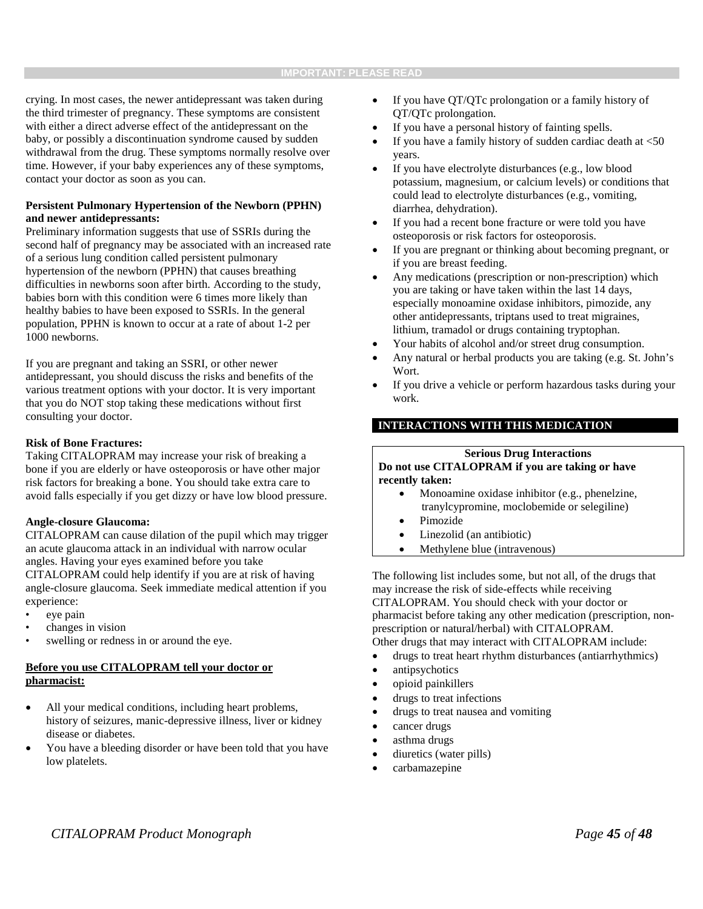crying. In most cases, the newer antidepressant was taken during the third trimester of pregnancy. These symptoms are consistent with either a direct adverse effect of the antidepressant on the baby, or possibly a discontinuation syndrome caused by sudden withdrawal from the drug. These symptoms normally resolve over time. However, if your baby experiences any of these symptoms, contact your doctor as soon as you can.

# **Persistent Pulmonary Hypertension of the Newborn (PPHN) and newer antidepressants:**

Preliminary information suggests that use of SSRIs during the second half of pregnancy may be associated with an increased rate of a serious lung condition called persistent pulmonary hypertension of the newborn (PPHN) that causes breathing difficulties in newborns soon after birth. According to the study, babies born with this condition were 6 times more likely than healthy babies to have been exposed to SSRIs. In the general population, PPHN is known to occur at a rate of about 1-2 per 1000 newborns.

If you are pregnant and taking an SSRI, or other newer antidepressant, you should discuss the risks and benefits of the various treatment options with your doctor. It is very important that you do NOT stop taking these medications without first consulting your doctor.

## **Risk of Bone Fractures:**

Taking CITALOPRAM may increase your risk of breaking a bone if you are elderly or have osteoporosis or have other major risk factors for breaking a bone. You should take extra care to avoid falls especially if you get dizzy or have low blood pressure.

#### **Angle-closure Glaucoma:**

CITALOPRAM can cause dilation of the pupil which may trigger an acute glaucoma attack in an individual with narrow ocular angles. Having your eyes examined before you take CITALOPRAM could help identify if you are at risk of having angle-closure glaucoma. Seek immediate medical attention if you experience:

- eye pain
- changes in vision
- swelling or redness in or around the eye.

## **Before you use CITALOPRAM tell your doctor or pharmacist:**

- All your medical conditions, including heart problems, history of seizures, manic-depressive illness, liver or kidney disease or diabetes.
- You have a bleeding disorder or have been told that you have low platelets.
- If you have QT/QTc prolongation or a family history of QT/QTc prolongation.
- If you have a personal history of fainting spells.
- If you have a family history of sudden cardiac death at  $\leq 50$ years.
- If you have electrolyte disturbances (e.g., low blood potassium, magnesium, or calcium levels) or conditions that could lead to electrolyte disturbances (e.g., vomiting, diarrhea, dehydration).
- If you had a recent bone fracture or were told you have osteoporosis or risk factors for osteoporosis.
- If you are pregnant or thinking about becoming pregnant, or if you are breast feeding.
- Any medications (prescription or non-prescription) which you are taking or have taken within the last 14 days, especially monoamine oxidase inhibitors, pimozide, any other antidepressants, triptans used to treat migraines, lithium, tramadol or drugs containing tryptophan.
- Your habits of alcohol and/or street drug consumption.
- Any natural or herbal products you are taking (e.g. St. John's Wort.
- If you drive a vehicle or perform hazardous tasks during your work.

# **INTERACTIONS WITH THIS MEDICATION**

# **Serious Drug Interactions**

## **Do not use CITALOPRAM if you are taking or have recently taken:**

- Monoamine oxidase inhibitor (e.g., phenelzine, tranylcypromine, moclobemide or selegiline)
- Pimozide
- Linezolid (an antibiotic)
- Methylene blue (intravenous)

The following list includes some, but not all, of the drugs that may increase the risk of side-effects while receiving CITALOPRAM. You should check with your doctor or pharmacist before taking any other medication (prescription, nonprescription or natural/herbal) with CITALOPRAM. Other drugs that may interact with CITALOPRAM include:

- drugs to treat heart rhythm disturbances (antiarrhythmics)
- antipsychotics
- opioid painkillers
- drugs to treat infections
- drugs to treat nausea and vomiting
- cancer drugs
- asthma drugs
- diuretics (water pills)
- carbamazepine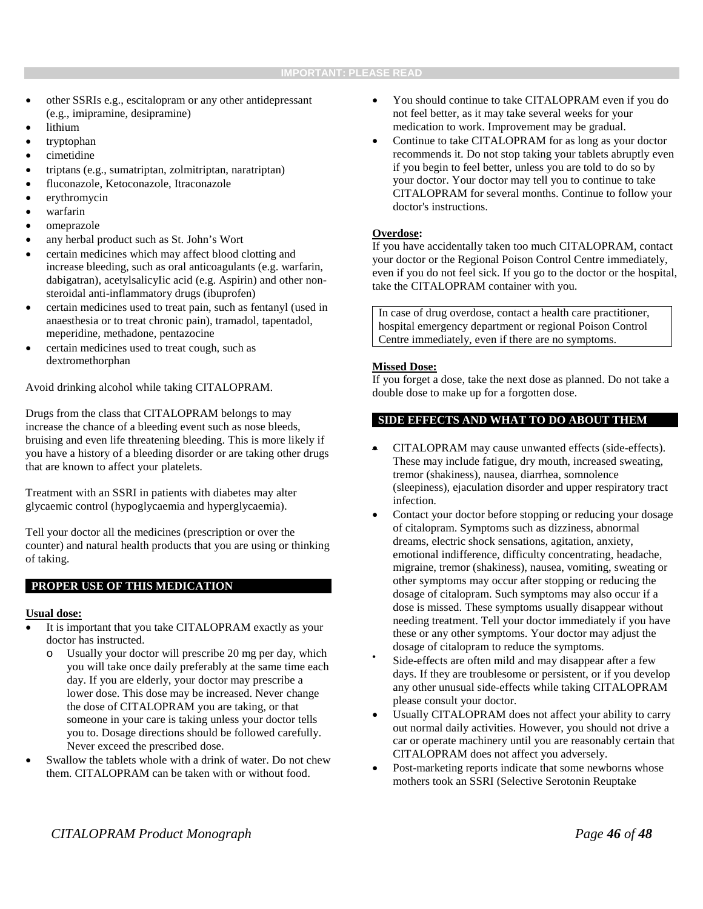- other SSRIs e.g., escitalopram or any other antidepressant (e.g., imipramine, desipramine)
- lithium
- tryptophan
- cimetidine
- triptans (e.g., sumatriptan, zolmitriptan, naratriptan)
- fluconazole, Ketoconazole, Itraconazole
- erythromycin
- warfarin
- omeprazole
- any herbal product such as St. John's Wort
- certain medicines which may affect blood clotting and increase bleeding, such as oral anticoagulants (e.g. warfarin, dabigatran), acetylsalicyIic acid (e.g. Aspirin) and other nonsteroidal anti-inflammatory drugs (ibuprofen)
- certain medicines used to treat pain, such as fentanyl (used in anaesthesia or to treat chronic pain), tramadol, tapentadol, meperidine, methadone, pentazocine
- certain medicines used to treat cough, such as dextromethorphan

Avoid drinking alcohol while taking CITALOPRAM.

Drugs from the class that CITALOPRAM belongs to may increase the chance of a bleeding event such as nose bleeds, bruising and even life threatening bleeding. This is more likely if you have a history of a bleeding disorder or are taking other drugs that are known to affect your platelets.

Treatment with an SSRI in patients with diabetes may alter glycaemic control (hypoglycaemia and hyperglycaemia).

Tell your doctor all the medicines (prescription or over the counter) and natural health products that you are using or thinking of taking.

## **PROPER USE OF THIS MEDICATION**

#### **Usual dose:**

- It is important that you take CITALOPRAM exactly as your doctor has instructed.
	- Usually your doctor will prescribe 20 mg per day, which you will take once daily preferably at the same time each day. If you are elderly, your doctor may prescribe a lower dose. This dose may be increased. Never change the dose of CITALOPRAM you are taking, or that someone in your care is taking unless your doctor tells you to. Dosage directions should be followed carefully. Never exceed the prescribed dose.
- Swallow the tablets whole with a drink of water. Do not chew them. CITALOPRAM can be taken with or without food.
- You should continue to take CITALOPRAM even if you do not feel better, as it may take several weeks for your medication to work. Improvement may be gradual.
- Continue to take CITALOPRAM for as long as your doctor recommends it. Do not stop taking your tablets abruptly even if you begin to feel better, unless you are told to do so by your doctor. Your doctor may tell you to continue to take CITALOPRAM for several months. Continue to follow your doctor's instructions.

## **Overdose:**

If you have accidentally taken too much CITALOPRAM, contact your doctor or the Regional Poison Control Centre immediately, even if you do not feel sick. If you go to the doctor or the hospital, take the CITALOPRAM container with you.

In case of drug overdose, contact a health care practitioner, hospital emergency department or regional Poison Control Centre immediately, even if there are no symptoms.

## **Missed Dose:**

If you forget a dose, take the next dose as planned. Do not take a double dose to make up for a forgotten dose.

# **SIDE EFFECTS AND WHAT TO DO ABOUT THEM**

- CITALOPRAM may cause unwanted effects (side-effects). These may include fatigue, dry mouth, increased sweating, tremor (shakiness), nausea, diarrhea, somnolence (sleepiness), ejaculation disorder and upper respiratory tract infection.
- Contact your doctor before stopping or reducing your dosage of citalopram. Symptoms such as dizziness, abnormal dreams, electric shock sensations, agitation, anxiety, emotional indifference, difficulty concentrating, headache, migraine, tremor (shakiness), nausea, vomiting, sweating or other symptoms may occur after stopping or reducing the dosage of citalopram. Such symptoms may also occur if a dose is missed. These symptoms usually disappear without needing treatment. Tell your doctor immediately if you have these or any other symptoms. Your doctor may adjust the dosage of citalopram to reduce the symptoms.<br>Side-effects are often mild and may disappear after a few
- days. If they are troublesome or persistent, or if you develop any other unusual side-effects while taking CITALOPRAM please consult your doctor.
- Usually CITALOPRAM does not affect your ability to carry out normal daily activities. However, you should not drive a car or operate machinery until you are reasonably certain that CITALOPRAM does not affect you adversely.
- Post-marketing reports indicate that some newborns whose mothers took an SSRI (Selective Serotonin Reuptake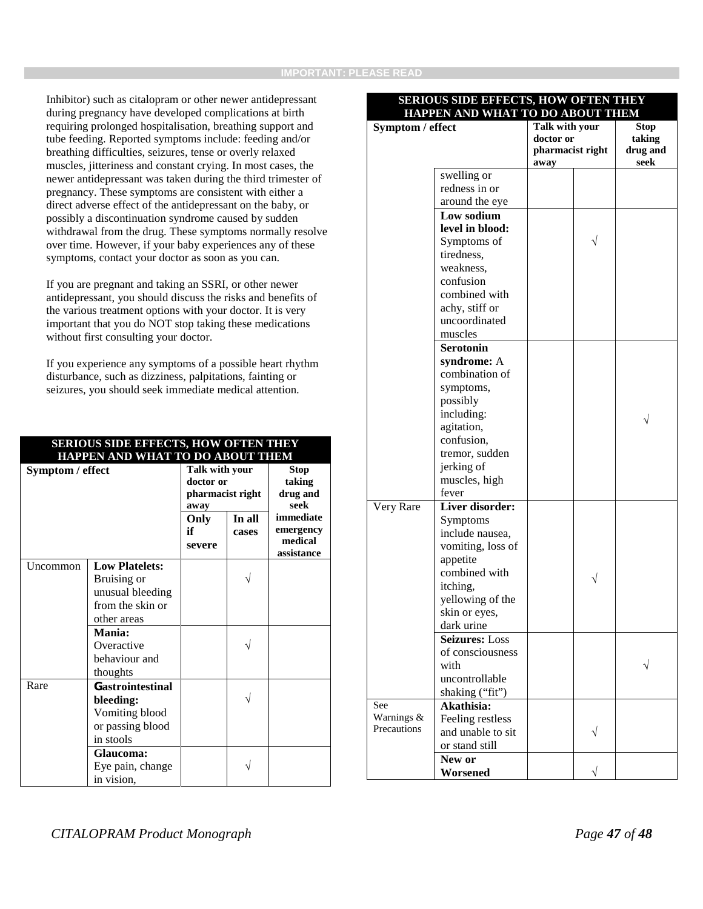Inhibitor) such as citalopram or other newer antidepressant during pregnancy have developed complications at birth requiring prolonged hospitalisation, breathing support and tube feeding. Reported symptoms include: feeding and/or breathing difficulties, seizures, tense or overly relaxed muscles, jitteriness and constant crying. In most cases, the newer antidepressant was taken during the third trimester of pregnancy. These symptoms are consistent with either a direct adverse effect of the antidepressant on the baby, or possibly a discontinuation syndrome caused by sudden withdrawal from the drug. These symptoms normally resolve over time. However, if your baby experiences any of these symptoms, contact your doctor as soon as you can.

If you are pregnant and taking an SSRI, or other newer antidepressant, you should discuss the risks and benefits of the various treatment options with your doctor. It is very important that you do NOT stop taking these medications without first consulting your doctor.

If you experience any symptoms of a possible heart rhythm disturbance, such as dizziness, palpitations, fainting or seizures, you should seek immediate medical attention.

**SERIOUS SIDE EFFECTS, HOW OFTEN THEY**

| SENIOUS SIDE EFFECTS, HOW OF LEN THET<br>HAPPEN AND WHAT TO DO ABOUT THEM |                                                                                                      |                                                         |                 |                                                 |  |  |
|---------------------------------------------------------------------------|------------------------------------------------------------------------------------------------------|---------------------------------------------------------|-----------------|-------------------------------------------------|--|--|
| Symptom / effect                                                          |                                                                                                      | Talk with your<br>doctor or<br>pharmacist right<br>away |                 | Stop<br>taking<br>drug and<br>seek              |  |  |
|                                                                           |                                                                                                      | Only<br>if<br>severe                                    | In all<br>cases | immediate<br>emergency<br>medical<br>assistance |  |  |
| Uncommon                                                                  | <b>Low Platelets:</b><br>Bruising or<br>unusual bleeding<br>from the skin or<br>other areas          |                                                         |                 |                                                 |  |  |
|                                                                           | Mania:<br>Overactive<br>behaviour and<br>thoughts                                                    |                                                         |                 |                                                 |  |  |
| Rare                                                                      | <b>Gastrointestinal</b><br>bleeding:<br>Vomiting blood<br>or passing blood<br>in stools<br>Glaucoma: |                                                         |                 |                                                 |  |  |
|                                                                           | Eye pain, change<br>in vision,                                                                       |                                                         |                 |                                                 |  |  |

# **SERIOUS SIDE EFFECTS, HOW OFTEN THEY HAPPEN AND WHAT TO DO ABOUT THEM**

| <u>HAPPEN AND WHAT TO DO ABOUT THEM</u> |                             |                               |  |             |  |
|-----------------------------------------|-----------------------------|-------------------------------|--|-------------|--|
| Symptom / effect                        |                             | Talk with your                |  | <b>Stop</b> |  |
|                                         |                             | doctor or<br>pharmacist right |  | taking      |  |
|                                         |                             |                               |  | drug and    |  |
|                                         |                             | away                          |  | seek        |  |
|                                         | swelling or                 |                               |  |             |  |
|                                         | redness in or               |                               |  |             |  |
|                                         | around the eye              |                               |  |             |  |
|                                         | Low sodium                  |                               |  |             |  |
|                                         | level in blood:             |                               |  |             |  |
|                                         | Symptoms of                 |                               |  |             |  |
|                                         | tiredness,                  |                               |  |             |  |
|                                         | weakness,                   |                               |  |             |  |
|                                         | confusion                   |                               |  |             |  |
|                                         | combined with               |                               |  |             |  |
|                                         | achy, stiff or              |                               |  |             |  |
|                                         | uncoordinated               |                               |  |             |  |
|                                         | muscles                     |                               |  |             |  |
|                                         | <b>Serotonin</b>            |                               |  |             |  |
|                                         | syndrome: A                 |                               |  |             |  |
|                                         | combination of              |                               |  |             |  |
|                                         | symptoms,                   |                               |  |             |  |
|                                         | possibly                    |                               |  |             |  |
|                                         | including:                  |                               |  |             |  |
|                                         | agitation,                  |                               |  |             |  |
|                                         | confusion,                  |                               |  |             |  |
|                                         | tremor, sudden              |                               |  |             |  |
|                                         | jerking of                  |                               |  |             |  |
|                                         | muscles, high               |                               |  |             |  |
|                                         | fever                       |                               |  |             |  |
| Very Rare                               | Liver disorder:             |                               |  |             |  |
|                                         | Symptoms                    |                               |  |             |  |
|                                         | include nausea,             |                               |  |             |  |
|                                         | vomiting, loss of           |                               |  |             |  |
|                                         | appetite                    |                               |  |             |  |
|                                         | combined with               |                               |  |             |  |
|                                         | itching,                    |                               |  |             |  |
|                                         | yellowing of the            |                               |  |             |  |
|                                         |                             |                               |  |             |  |
|                                         | skin or eyes,<br>dark urine |                               |  |             |  |
|                                         | <b>Seizures: Loss</b>       |                               |  |             |  |
|                                         |                             |                               |  |             |  |
|                                         | of consciousness            |                               |  |             |  |
|                                         | with                        |                               |  |             |  |
|                                         | uncontrollable              |                               |  |             |  |
|                                         | shaking ("fit")             |                               |  |             |  |
| See<br>Warnings &                       | Akathisia:                  |                               |  |             |  |
| Precautions                             | Feeling restless            |                               |  |             |  |
|                                         | and unable to sit           |                               |  |             |  |
|                                         | or stand still              |                               |  |             |  |
|                                         | New or                      |                               |  |             |  |
|                                         | Worsened                    |                               |  |             |  |